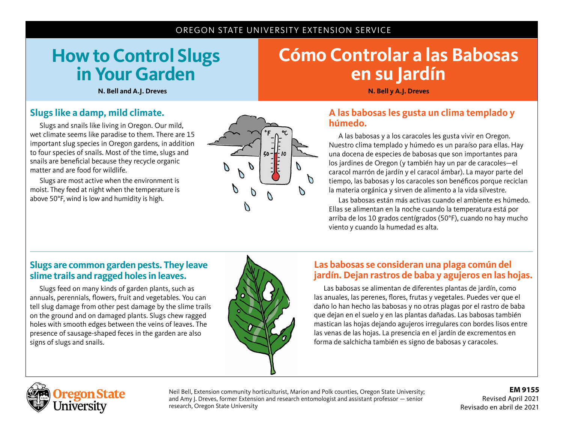#### OREGON STATE UNIVERSITY EXTENSION SERVICE

## **How to Control Slugs in Your Garden**

# **Cómo Controlar a las Babosas en su Jardín**

**N. Bell and A.J. Dreves N. Bell y A.J. Dreves**

#### **Slugs like a damp, mild climate.**

Slugs and snails like living in Oregon. Our mild, wet climate seems like paradise to them. There are 15 important slug species in Oregon gardens, in addition to four species of snails. Most of the time, slugs and snails are beneficial because they recycle organic matter and are food for wildlife.

Slugs are most active when the environment is moist. They feed at night when the temperature is above 50°F, wind is low and humidity is high.



#### **A las babosas les gusta un clima templado y húmedo.**

A las babosas y a los caracoles les gusta vivir en Oregon. Nuestro clima templado y húmedo es un paraíso para ellas. Hay una docena de especies de babosas que son importantes para los jardines de Oregon (y también hay un par de caracoles—el caracol marrón de jardín y el caracol ámbar). La mayor parte del tiempo, las babosas y los caracoles son benéficos porque reciclan la materia orgánica y sirven de alimento a la vida silvestre.

Las babosas están más activas cuando el ambiente es húmedo. Ellas se alimentan en la noche cuando la temperatura está por arriba de los 10 grados centígrados (50°F), cuando no hay mucho viento y cuando la humedad es alta.

#### **Slugs are common garden pests. They leave slime trails and ragged holes in leaves.**

Slugs feed on many kinds of garden plants, such as annuals, perennials, flowers, fruit and vegetables. You can tell slug damage from other pest damage by the slime trails on the ground and on damaged plants. Slugs chew ragged holes with smooth edges between the veins of leaves. The presence of sausage-shaped feces in the garden are also signs of slugs and snails.



#### **Las babosas se consideran una plaga común del jardín. Dejan rastros de baba y agujeros en las hojas.**

Las babosas se alimentan de diferentes plantas de jardín, como las anuales, las perenes, flores, frutas y vegetales. Puedes ver que el daño lo han hecho las babosas y no otras plagas por el rastro de baba que dejan en el suelo y en las plantas dañadas. Las babosas también mastican las hojas dejando agujeros irregulares con bordes lisos entre las venas de las hojas. La presencia en el jardín de excrementos en forma de salchicha también es signo de babosas y caracoles.



Neil Bell, Extension community horticulturist, Marion and Polk counties, Oregon State University; and Amy J. Dreves, former Extension and research entomologist and assistant professor — senior research, Oregon State University

**EM 9155** Revised April 2021 Revisado en abril de 2021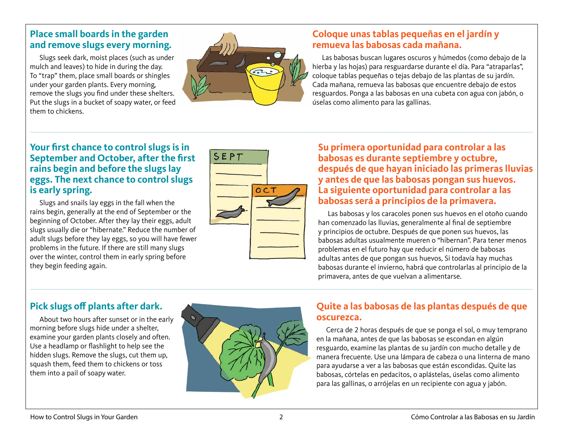#### **Place small boards in the garden and remove slugs every morning.**

Slugs seek dark, moist places (such as under mulch and leaves) to hide in during the day. To "trap" them, place small boards or shingles under your garden plants. Every morning, remove the slugs you find under these shelters. Put the slugs in a bucket of soapy water, or feed them to chickens.



#### **Coloque unas tablas pequeñas en el jardín y remueva las babosas cada mañana.**

Las babosas buscan lugares oscuros y húmedos (como debajo de la hierba y las hojas) para resguardarse durante el día. Para "atraparlas", coloque tablas pequeñas o tejas debajo de las plantas de su jardín. Cada mañana, remueva las babosas que encuentre debajo de estos resguardos. Ponga a las babosas en una cubeta con agua con jabón, o úselas como alimento para las gallinas.

#### **Your first chance to control slugs is in September and October, after the first rains begin and before the slugs lay eggs. The next chance to control slugs is early spring.**

Slugs and snails lay eggs in the fall when the rains begin, generally at the end of September or the beginning of October. After they lay their eggs, adult slugs usually die or "hibernate." Reduce the number of adult slugs before they lay eggs, so you will have fewer problems in the future. If there are still many slugs over the winter, control them in early spring before they begin feeding again.



**Su primera oportunidad para controlar a las babosas es durante septiembre y octubre, después de que hayan iniciado las primeras lluvias y antes de que las babosas pongan sus huevos. La siguiente oportunidad para controlar a las babosas será a principios de la primavera.** 

Las babosas y los caracoles ponen sus huevos en el otoño cuando han comenzado las lluvias, generalmente al final de septiembre y principios de octubre. Después de que ponen sus huevos, las babosas adultas usualmente mueren o "hibernan". Para tener menos problemas en el futuro hay que reducir el número de babosas adultas antes de que pongan sus huevos, Si todavía hay muchas babosas durante el invierno, habrá que controlarlas al principio de la primavera, antes de que vuelvan a alimentarse.

## **Pick slugs off plants after dark.**

About two hours after sunset or in the early morning before slugs hide under a shelter, examine your garden plants closely and often. Use a headlamp or flashlight to help see the hidden slugs. Remove the slugs, cut them up, squash them, feed them to chickens or toss them into a pail of soapy water.



## **Quite a las babosas de las plantas después de que oscurezca.**

Cerca de 2 horas después de que se ponga el sol, o muy temprano en la mañana, antes de que las babosas se escondan en algún resguardo, examine las plantas de su jardín con mucho detalle y de manera frecuente. Use una lámpara de cabeza o una linterna de mano para ayudarse a ver a las babosas que están escondidas. Quite las babosas, córtelas en pedacitos, o aplástelas, úselas como alimento para las gallinas, o arrójelas en un recipiente con agua y jabón.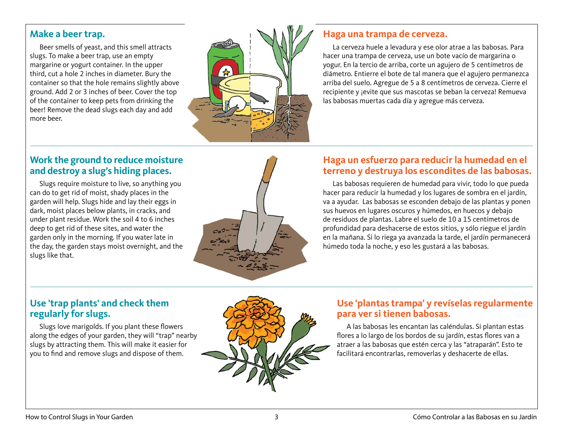#### **Make a beer trap.**

Beer smells of yeast, and this smell attracts slugs. To make a beer trap, use an empty margarine or yogurt container. In the upper third, cut a hole 2 inches in diameter. Bury the container so that the hole remains slightly above ground. Add 2 or 3 inches of beer. Cover the top of the container to keep pets from drinking the beer! Remove the dead slugs each day and add more beer.



#### **Haga una trampa de cerveza.**

La cerveza huele a levadura y ese olor atrae a las babosas. Para hacer una trampa de cerveza, use un bote vacío de margarina o yogur. En la tercio de arriba, corte un agujero de 5 centímetros de diámetro. Entierre el bote de tal manera que el agujero permanezca arriba del suelo. Agregue de 5 a 8 centímetros de cerveza. Cierre el recipiente y jevite que sus mascotas se beban la cerveza! Remueva las babosas muertas cada día y agregue más cerveza.

#### **Work the ground to reduce moisture and destroy a slug's hiding places.**

Slugs require moisture to live, so anything you can do to get rid of moist, shady places in the garden will help. Slugs hide and lay their eggs in dark, moist places below plants, in cracks, and under plant residue. Work the soil 4 to 6 inches deep to get rid of these sites, and water the garden only in the morning. If you water late in the day, the garden stays moist overnight, and the slugs like that.



#### **Haga un esfuerzo para reducir la humedad en el terreno y destruya los escondites de las babosas.**

Las babosas requieren de humedad para vivir, todo lo que pueda hacer para reducir la humedad y los lugares de sombra en el jardín, va a ayudar. Las babosas se esconden debajo de las plantas y ponen sus huevos en lugares oscuros y húmedos, en huecos y debajo de residuos de plantas. Labre el suelo de 10 a 15 centímetros de profundidad para deshacerse de estos sitios, y sólo riegue el jardín en la mañana. Si lo riega ya avanzada la tarde, el jardín permanecerá húmedo toda la noche, y eso les gustará a las babosas.

#### **Use 'trap plants' and check them regularly for slugs.**

Slugs love marigolds. If you plant these flowers along the edges of your garden, they will "trap" nearby slugs by attracting them. This will make it easier for you to find and remove slugs and dispose of them.



#### **Use 'plantas trampa' y revíselas regularmente para ver si tienen babosas.**

A las babosas les encantan las caléndulas. Si plantan estas flores a lo largo de los bordos de su jardín, estas flores van a atraer a las babosas que estén cerca y las "atraparán". Esto te facilitará encontrarlas, removerlas y deshacerte de ellas.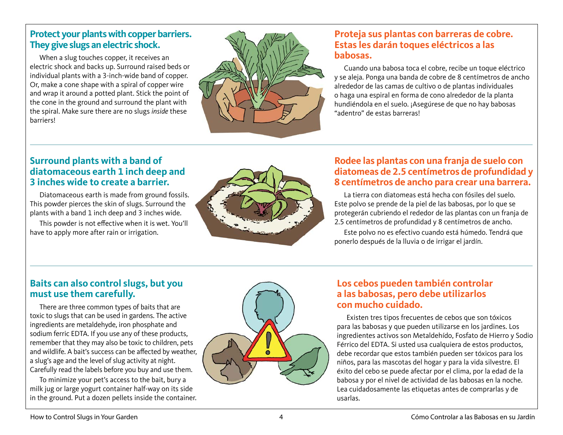#### **Protect your plants with copper barriers. They give slugs an electric shock.**

When a slug touches copper, it receives an electric shock and backs up. Surround raised beds or individual plants with a 3-inch-wide band of copper. Or, make a cone shape with a spiral of copper wire and wrap it around a potted plant. Stick the point of the cone in the ground and surround the plant with the spiral. Make sure there are no slugs *inside* these **barriers!** 



#### **Proteja sus plantas con barreras de cobre. Estas les darán toques eléctricos a las babosas.**

Cuando una babosa toca el cobre, recibe un toque eléctrico y se aleja. Ponga una banda de cobre de 8 centímetros de ancho alrededor de las camas de cultivo o de plantas individuales o haga una espiral en forma de cono alrededor de la planta hundiéndola en el suelo. ¡Asegúrese de que no hay babosas "adentro" de estas barreras!

#### **Surround plants with a band of diatomaceous earth 1 inch deep and 3 inches wide to create a barrier.**

Diatomaceous earth is made from ground fossils. This powder pierces the skin of slugs. Surround the plants with a band 1 inch deep and 3 inches wide.

This powder is not effective when it is wet. You'll have to apply more after rain or irrigation.



#### **Rodee las plantas con una franja de suelo con diatomeas de 2.5 centímetros de profundidad y 8 centímetros de ancho para crear una barrera.**

La tierra con diatomeas está hecha con fósiles del suelo. Este polvo se prende de la piel de las babosas, por lo que se protegerán cubriendo el rededor de las plantas con un franja de 2.5 centímetros de profundidad y 8 centímetros de ancho.

Este polvo no es efectivo cuando está húmedo. Tendrá que ponerlo después de la lluvia o de irrigar el jardín.

#### **Baits can also control slugs, but you must use them carefully.**

There are three common types of baits that are toxic to slugs that can be used in gardens. The active ingredients are metaldehyde, iron phosphate and sodium ferric EDTA. If you use any of these products, remember that they may also be toxic to children, pets and wildlife. A bait's success can be affected by weather, a slug's age and the level of slug activity at night. Carefully read the labels before you buy and use them.

To minimize your pet's access to the bait, bury a milk jug or large yogurt container half-way on its side in the ground. Put a dozen pellets inside the container.



#### **Los cebos pueden también controlar a las babosas, pero debe utilizarlos con mucho cuidado.**

Existen tres tipos frecuentes de cebos que son tóxicos para las babosas y que pueden utilizarse en los jardines. Los ingredientes activos son Metaldehído, Fosfato de Hierro y Sodio Férrico del EDTA. Si usted usa cualquiera de estos productos, debe recordar que estos también pueden ser tóxicos para los niños, para las mascotas del hogar y para la vida silvestre. El éxito del cebo se puede afectar por el clima, por la edad de la babosa y por el nivel de actividad de las babosas en la noche. Lea cuidadosamente las etiquetas antes de comprarlas y de usarlas.